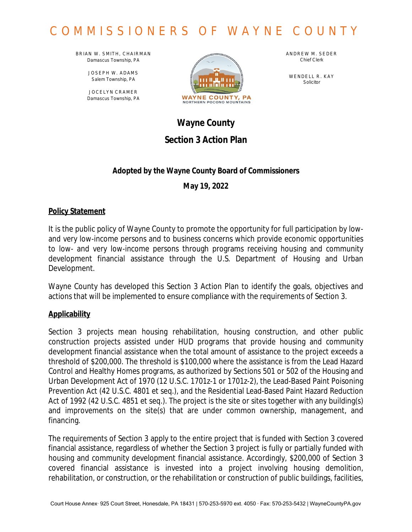BRIAN W. SMITH, CHAIRMAN *Damascus Township, PA*

> JOSEPH W. ADAMS *Salem Township, PA*

JOCELYN CRAMER *Damascus Township, PA*



ANDREW M. SEDER *Chief Clerk*

WENDELL R. KAY *Solicitor*

## **Wayne County Section 3 Action Plan**

## **Adopted by the Wayne County Board of Commissioners**

**May 19, 2022**

## **Policy Statement**

It is the public policy of Wayne County to promote the opportunity for full participation by lowand very low-income persons and to business concerns which provide economic opportunities to low- and very low-income persons through programs receiving housing and community development financial assistance through the U.S. Department of Housing and Urban Development.

Wayne County has developed this Section 3 Action Plan to identify the goals, objectives and actions that will be implemented to ensure compliance with the requirements of Section 3.

## **Applicability**

Section 3 projects mean housing rehabilitation, housing construction, and other public construction projects assisted under HUD programs that provide housing and community development financial assistance when the total amount of assistance to the project exceeds a threshold of \$200,000. The threshold is \$100,000 where the assistance is from the Lead Hazard Control and Healthy Homes programs, as authorized by Sections 501 or 502 of the Housing and Urban Development Act of 1970 (12 U.S.C. 1701z-1 or 1701z-2), the Lead-Based Paint Poisoning Prevention Act (42 U.S.C. 4801 et seq.), and the Residential Lead-Based Paint Hazard Reduction Act of 1992 (42 U.S.C. 4851 et seq.). The project is the site or sites together with any building(s) and improvements on the site(s) that are under common ownership, management, and financing.

The requirements of Section 3 apply to the entire project that is funded with Section 3 covered financial assistance, regardless of whether the Section 3 project is fully or partially funded with housing and community development financial assistance. Accordingly, \$200,000 of Section 3 covered financial assistance is invested into a project involving housing demolition, rehabilitation, or construction, or the rehabilitation or construction of public buildings, facilities,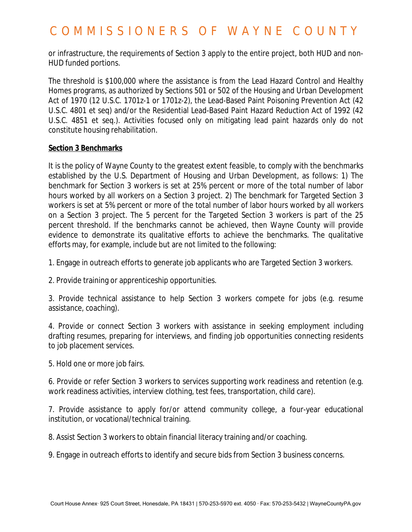or infrastructure, the requirements of Section 3 apply to the entire project, both HUD and non-HUD funded portions.

The threshold is \$100,000 where the assistance is from the Lead Hazard Control and Healthy Homes programs, as authorized by Sections 501 or 502 of the Housing and Urban Development Act of 1970 (12 U.S.C. 1701z-1 or 1701z-2), the Lead-Based Paint Poisoning Prevention Act (42 U.S.C. 4801 et seq) and/or the Residential Lead-Based Paint Hazard Reduction Act of 1992 (42 U.S.C. 4851 et seq.). Activities focused only on mitigating lead paint hazards only do not constitute housing rehabilitation.

#### **Section 3 Benchmarks**

It is the policy of Wayne County to the greatest extent feasible, to comply with the benchmarks established by the U.S. Department of Housing and Urban Development, as follows: 1) The benchmark for Section 3 workers is set at 25% percent or more of the total number of labor hours worked by all workers on a Section 3 project. 2) The benchmark for Targeted Section 3 workers is set at 5% percent or more of the total number of labor hours worked by all workers on a Section 3 project. The 5 percent for the Targeted Section 3 workers is part of the 25 percent threshold. If the benchmarks cannot be achieved, then Wayne County will provide evidence to demonstrate its qualitative efforts to achieve the benchmarks. The qualitative efforts may, for example, include but are not limited to the following:

1. Engage in outreach efforts to generate job applicants who are Targeted Section 3 workers.

2. Provide training or apprenticeship opportunities.

3. Provide technical assistance to help Section 3 workers compete for jobs (e.g. resume assistance, coaching).

4. Provide or connect Section 3 workers with assistance in seeking employment including drafting resumes, preparing for interviews, and finding job opportunities connecting residents to job placement services.

5. Hold one or more job fairs.

6. Provide or refer Section 3 workers to services supporting work readiness and retention (e.g. work readiness activities, interview clothing, test fees, transportation, child care).

7. Provide assistance to apply for/or attend community college, a four-year educational institution, or vocational/technical training.

8. Assist Section 3 workers to obtain financial literacy training and/or coaching.

9. Engage in outreach efforts to identify and secure bids from Section 3 business concerns.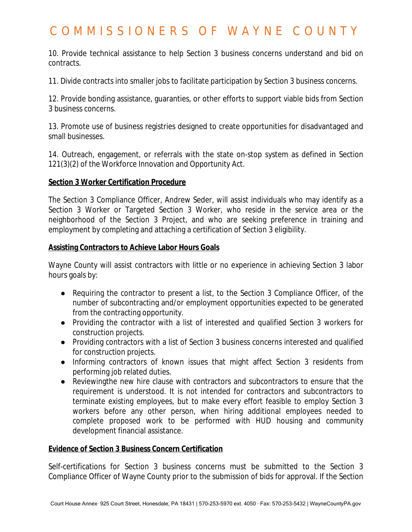10. Provide technical assistance to help Section 3 business concerns understand and bid on contracts.

11. Divide contracts into smaller jobs to facilitate participation by Section 3 business concerns.

12. Provide bonding assistance, guaranties, or other efforts to support viable bids from Section 3 business concerns.

13. Promote use of business registries designed to create opportunities for disadvantaged and small businesses.

14. Outreach, engagement, or referrals with the state on-stop system as defined in Section 121(3)(2) of the Workforce Innovation and Opportunity Act.

### **Section 3 Worker Certification Procedure**

The Section 3 Compliance Officer, Andrew Seder, will assist individuals who may identify as a Section 3 Worker or Targeted Section 3 Worker, who reside in the service area or the neighborhood of the Section 3 Project, and who are seeking preference in training and employment by completing and attaching a certification of Section 3 eligibility.

### **Assisting Contractors to Achieve Labor Hours Goals**

Wayne County will assist contractors with little or no experience in achieving Section 3 labor hours goals by:

- Requiring the contractor to present a list, to the Section 3 Compliance Officer, of the number of subcontracting and/or employment opportunities expected to be generated from the contracting opportunity.
- Providing the contractor with a list of interested and qualified Section 3 workers for construction projects.
- Providing contractors with a list of Section 3 business concerns interested and qualified for construction projects.
- Informing contractors of known issues that might affect Section 3 residents from performing job related duties.
- Reviewingthe new hire clause with contractors and subcontractors to ensure that the requirement is understood. It is not intended for contractors and subcontractors to terminate existing employees, but to make every effort feasible to employ Section 3 workers before any other person, when hiring additional employees needed to complete proposed work to be performed with HUD housing and community development financial assistance.

### **Evidence of Section 3 Business Concern Certification**

Self-certifications for Section 3 business concerns must be submitted to the Section 3 Compliance Officer of Wayne County prior to the submission of bids for approval. If the Section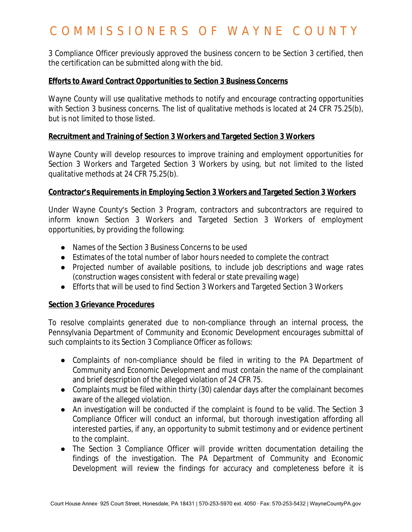3 Compliance Officer previously approved the business concern to be Section 3 certified, then the certification can be submitted along with the bid.

#### **Efforts to Award Contract Opportunities to Section 3 Business Concerns**

Wayne County will use qualitative methods to notify and encourage contracting opportunities with Section 3 business concerns. The list of qualitative methods is located at 24 CFR 75.25(b), but is not limited to those listed.

### **Recruitment and Training of Section 3 Workers and Targeted Section 3 Workers**

Wayne County will develop resources to improve training and employment opportunities for Section 3 Workers and Targeted Section 3 Workers by using, but not limited to the listed qualitative methods at 24 CFR 75.25(b).

#### **Contractor's Requirements in Employing Section 3 Workers and Targeted Section 3 Workers**

Under Wayne County's Section 3 Program, contractors and subcontractors are required to inform known Section 3 Workers and Targeted Section 3 Workers of employment opportunities, by providing the following:

- Names of the Section 3 Business Concerns to be used
- Estimates of the total number of labor hours needed to complete the contract
- Projected number of available positions, to include job descriptions and wage rates (construction wages consistent with federal or state prevailing wage)
- Efforts that will be used to find Section 3 Workers and Targeted Section 3 Workers

### **Section 3 Grievance Procedures**

To resolve complaints generated due to non-compliance through an internal process, the Pennsylvania Department of Community and Economic Development encourages submittal of such complaints to its Section 3 Compliance Officer as follows:

- Complaints of non-compliance should be filed in writing to the PA Department of Community and Economic Development and must contain the name of the complainant and brief description of the alleged violation of 24 CFR 75.
- Complaints must be filed within thirty (30) calendar days after the complainant becomes aware of the alleged violation.
- An investigation will be conducted if the complaint is found to be valid. The Section 3 Compliance Officer will conduct an informal, but thorough investigation affording all interested parties, if any, an opportunity to submit testimony and or evidence pertinent to the complaint.
- The Section 3 Compliance Officer will provide written documentation detailing the findings of the investigation. The PA Department of Community and Economic Development will review the findings for accuracy and completeness before it is